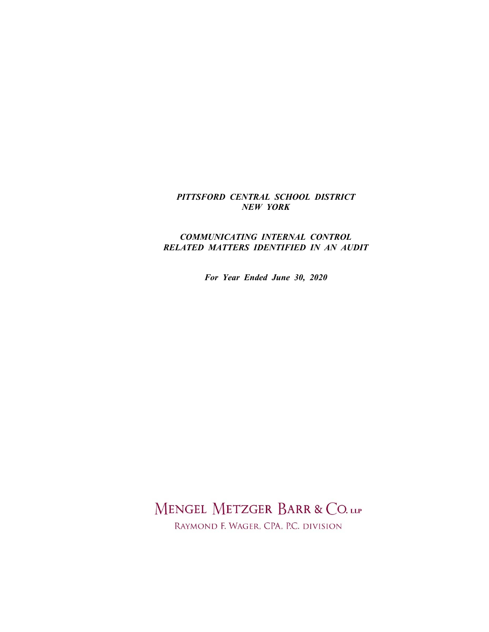# *PITTSFORD CENTRAL SCHOOL DISTRICT NEW YORK*

# *COMMUNICATING INTERNAL CONTROL RELATED MATTERS IDENTIFIED IN AN AUDIT*

*For Year Ended June 30, 2020*

MENGEL METZGER BARR & CO. LLP

RAYMOND F. WAGER, CPA, P.C. DIVISION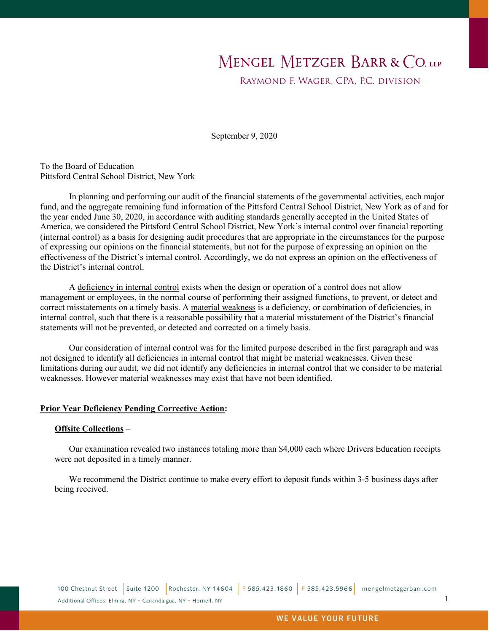# MENGEL METZGER BARR & CO. LLP

Raymond F. Wager, CPA, P.C. division

September 9, 2020

To the Board of Education Pittsford Central School District, New York

In planning and performing our audit of the financial statements of the governmental activities, each major fund, and the aggregate remaining fund information of the Pittsford Central School District, New York as of and for the year ended June 30, 2020, in accordance with auditing standards generally accepted in the United States of America, we considered the Pittsford Central School District, New York's internal control over financial reporting (internal control) as a basis for designing audit procedures that are appropriate in the circumstances for the purpose of expressing our opinions on the financial statements, but not for the purpose of expressing an opinion on the effectiveness of the District's internal control. Accordingly, we do not express an opinion on the effectiveness of the District's internal control.

A deficiency in internal control exists when the design or operation of a control does not allow management or employees, in the normal course of performing their assigned functions, to prevent, or detect and correct misstatements on a timely basis. A material weakness is a deficiency, or combination of deficiencies, in internal control, such that there is a reasonable possibility that a material misstatement of the District's financial statements will not be prevented, or detected and corrected on a timely basis.

Our consideration of internal control was for the limited purpose described in the first paragraph and was not designed to identify all deficiencies in internal control that might be material weaknesses. Given these limitations during our audit, we did not identify any deficiencies in internal control that we consider to be material weaknesses. However material weaknesses may exist that have not been identified.

## **Prior Year Deficiency Pending Corrective Action:**

## **Offsite Collections** –

Our examination revealed two instances totaling more than \$4,000 each where Drivers Education receipts were not deposited in a timely manner.

We recommend the District continue to make every effort to deposit funds within 3-5 business days after being received.

1